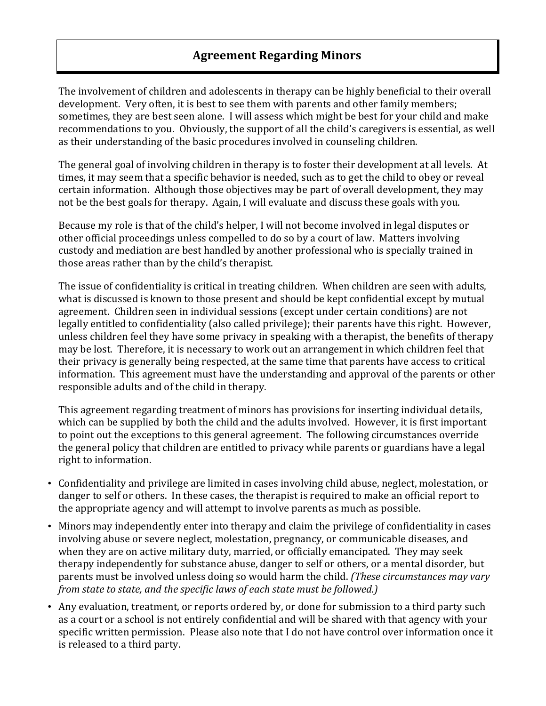## **Agreement Regarding Minors**

The involvement of children and adolescents in therapy can be highly beneficial to their overall development. Very often, it is best to see them with parents and other family members; sometimes, they are best seen alone. I will assess which might be best for your child and make recommendations to you. Obviously, the support of all the child's caregivers is essential, as well as their understanding of the basic procedures involved in counseling children.

The general goal of involving children in therapy is to foster their development at all levels. At times, it may seem that a specific behavior is needed, such as to get the child to obey or reveal certain information. Although those objectives may be part of overall development, they may not be the best goals for therapy. Again, I will evaluate and discuss these goals with you.

Because my role is that of the child's helper, I will not become involved in legal disputes or other official proceedings unless compelled to do so by a court of law. Matters involving custody and mediation are best handled by another professional who is specially trained in those areas rather than by the child's therapist.

The issue of confidentiality is critical in treating children. When children are seen with adults, what is discussed is known to those present and should be kept confidential except by mutual agreement. Children seen in individual sessions (except under certain conditions) are not legally entitled to confidentiality (also called privilege); their parents have this right. However, unless children feel they have some privacy in speaking with a therapist, the benefits of therapy may be lost. Therefore, it is necessary to work out an arrangement in which children feel that their privacy is generally being respected, at the same time that parents have access to critical information. This agreement must have the understanding and approval of the parents or other responsible adults and of the child in therapy.

This agreement regarding treatment of minors has provisions for inserting individual details, which can be supplied by both the child and the adults involved. However, it is first important to point out the exceptions to this general agreement. The following circumstances override the general policy that children are entitled to privacy while parents or guardians have a legal right to information.

- Confidentiality and privilege are limited in cases involving child abuse, neglect, molestation, or danger to self or others. In these cases, the therapist is required to make an official report to the appropriate agency and will attempt to involve parents as much as possible.
- Minors may independently enter into therapy and claim the privilege of confidentiality in cases involving abuse or severe neglect, molestation, pregnancy, or communicable diseases, and when they are on active military duty, married, or officially emancipated. They may seek therapy independently for substance abuse, danger to self or others, or a mental disorder, but parents must be involved unless doing so would harm the child. (These circumstances may vary *from state to state, and the specific laws of each state must be followed.*)
- Any evaluation, treatment, or reports ordered by, or done for submission to a third party such as a court or a school is not entirely confidential and will be shared with that agency with your specific written permission. Please also note that I do not have control over information once it is released to a third party.